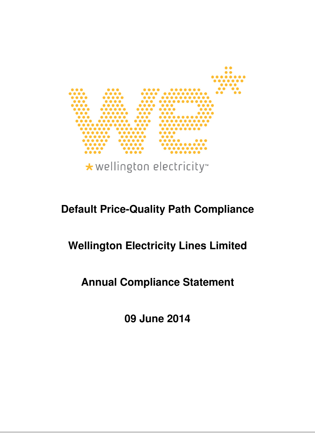

\* wellington electricity

# **Default Price-Quality Path Compliance**

# **Wellington Electricity Lines Limited**

# **Annual Compliance Statement**

**09 June 2014**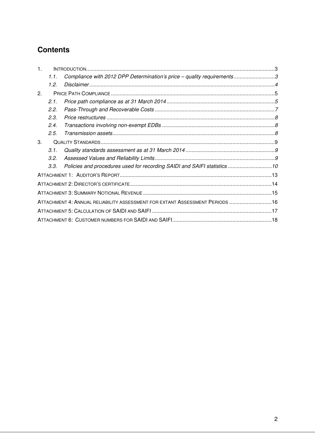# **Contents**

| $\mathbf{1}$ . |      |                                                                              |  |
|----------------|------|------------------------------------------------------------------------------|--|
|                | 1.1. | Compliance with 2012 DPP Determination's price - quality requirements3       |  |
|                | 1.2. |                                                                              |  |
| 2.             |      |                                                                              |  |
|                | 2.1. |                                                                              |  |
|                | 2.2. |                                                                              |  |
|                | 2.3. |                                                                              |  |
|                | 2.4. |                                                                              |  |
|                | 2.5. |                                                                              |  |
| 3.             |      |                                                                              |  |
|                | 3.1. |                                                                              |  |
|                | 3.2. |                                                                              |  |
|                | 3.3. | Policies and procedures used for recording SAIDI and SAIFI statistics 10     |  |
|                |      |                                                                              |  |
|                |      |                                                                              |  |
|                |      |                                                                              |  |
|                |      | ATTACHMENT 4: ANNUAL RELIABILITY ASSESSMENT FOR EXTANT ASSESSMENT PERIODS 16 |  |
|                |      |                                                                              |  |
|                |      |                                                                              |  |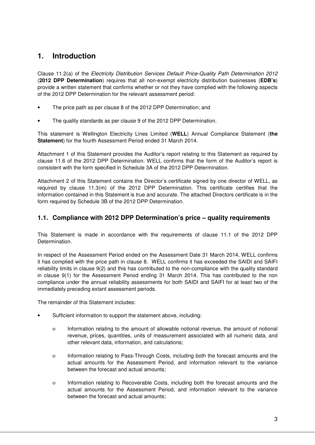# **1. Introduction**

Clause 11.2(a) of the Electricity Distribution Services Default Price-Quality Path Determination 2012 (**2012 DPP Determination**) requires that all non-exempt electricity distribution businesses (**EDB's**) provide a written statement that confirms whether or not they have complied with the following aspects of the 2012 DPP Determination for the relevant assessment period:

- The price path as per clause 8 of the 2012 DPP Determination; and
- The quality standards as per clause 9 of the 2012 DPP Determination.

This statement is Wellington Electricity Lines Limited (**WELL**) Annual Compliance Statement (**the Statement**) for the fourth Assessment Period ended 31 March 2014.

Attachment 1 of this Statement provides the Auditor's report relating to this Statement as required by clause 11.6 of the 2012 DPP Determination. WELL confirms that the form of the Auditor's report is consistent with the form specified in Schedule 3A of the 2012 DPP Determination.

Attachment 2 of this Statement contains the Director's certificate signed by one director of WELL, as required by clause 11.3(m) of the 2012 DPP Determination. This certificate certifies that the information contained in this Statement is true and accurate. The attached Directors certificate is in the form required by Schedule 3B of the 2012 DPP Determination.

## **1.1. Compliance with 2012 DPP Determination's price – quality requirements**

This Statement is made in accordance with the requirements of clause 11.1 of the 2012 DPP Determination.

In respect of the Assessment Period ended on the Assessment Date 31 March 2014, WELL confirms it has complied with the price path in clause 8. WELL confirms it has exceeded the SAIDI and SAIFI reliability limits in clause 9(2) and this has contributed to the non-compliance with the quality standard in clause 9(1) for the Assessment Period ending 31 March 2014. This has contributed to the non compliance under the annual reliability assessments for both SAIDI and SAIFI for at least two of the immediately preceding extant assessment periods.

The remainder of this Statement includes:

- Sufficient information to support the statement above, including:
	- ο Information relating to the amount of allowable notional revenue, the amount of notional revenue, prices, quantities, units of measurement associated with all numeric data, and other relevant data, information, and calculations;
	- ο Information relating to Pass-Through Costs, including both the forecast amounts and the actual amounts for the Assessment Period, and information relevant to the variance between the forecast and actual amounts;
	- ο Information relating to Recoverable Costs, including both the forecast amounts and the actual amounts for the Assessment Period, and information relevant to the variance between the forecast and actual amounts;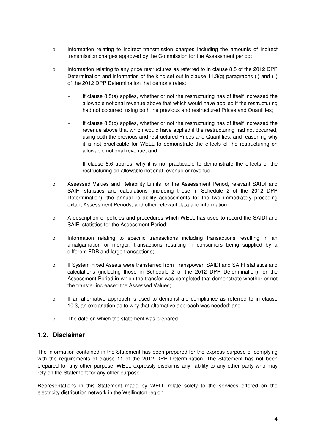- ο Information relating to indirect transmission charges including the amounts of indirect transmission charges approved by the Commission for the Assessment period;
- ο Information relating to any price restructures as referred to in clause 8.5 of the 2012 DPP Determination and information of the kind set out in clause 11.3(g) paragraphs (i) and (ii) of the 2012 DPP Determination that demonstrates:
	- If clause 8.5(a) applies, whether or not the restructuring has of itself increased the allowable notional revenue above that which would have applied if the restructuring had not occurred, using both the previous and restructured Prices and Quantities;
	- If clause 8.5(b) applies, whether or not the restructuring has of itself increased the revenue above that which would have applied if the restructuring had not occurred, using both the previous and restructured Prices and Quantities, and reasoning why it is not practicable for WELL to demonstrate the effects of the restructuring on allowable notional revenue; and
	- If clause 8.6 applies, why it is not practicable to demonstrate the effects of the restructuring on allowable notional revenue or revenue.
- ο Assessed Values and Reliability Limits for the Assessment Period, relevant SAIDI and SAIFI statistics and calculations (including those in Schedule 2 of the 2012 DPP Determination), the annual reliability assessments for the two immediately preceding extant Assessment Periods, and other relevant data and information;
- ο A description of policies and procedures which WELL has used to record the SAIDI and SAIFI statistics for the Assessment Period;
- ο Information relating to specific transactions including transactions resulting in an amalgamation or merger, transactions resulting in consumers being supplied by a different EDB and large transactions;
- ο If System Fixed Assets were transferred from Transpower, SAIDI and SAIFI statistics and calculations (including those in Schedule 2 of the 2012 DPP Determination) for the Assessment Period in which the transfer was completed that demonstrate whether or not the transfer increased the Assessed Values;
- ο If an alternative approach is used to demonstrate compliance as referred to in clause 10.3, an explanation as to why that alternative approach was needed; and
- ο The date on which the statement was prepared.

### **1.2. Disclaimer**

The information contained in the Statement has been prepared for the express purpose of complying with the requirements of clause 11 of the 2012 DPP Determination. The Statement has not been prepared for any other purpose. WELL expressly disclaims any liability to any other party who may rely on the Statement for any other purpose.

Representations in this Statement made by WELL relate solely to the services offered on the electricity distribution network in the Wellington region.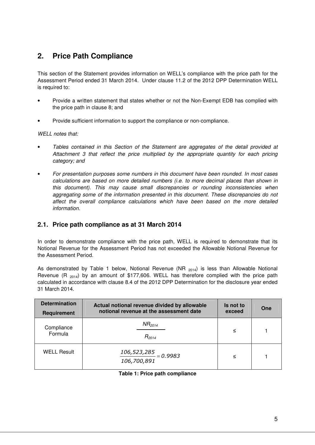# **2. Price Path Compliance**

This section of the Statement provides information on WELL's compliance with the price path for the Assessment Period ended 31 March 2014. Under clause 11.2 of the 2012 DPP Determination WELL is required to:

- Provide a written statement that states whether or not the Non-Exempt EDB has complied with the price path in clause 8; and
- Provide sufficient information to support the compliance or non-compliance.

WELL notes that:

- Tables contained in this Section of the Statement are aggregates of the detail provided at Attachment 3 that reflect the price multiplied by the appropriate quantity for each pricing category; and
- For presentation purposes some numbers in this document have been rounded. In most cases calculations are based on more detailed numbers (i.e. to more decimal places than shown in this document). This may cause small discrepancies or rounding inconsistencies when aggregating some of the information presented in this document. These discrepancies do not affect the overall compliance calculations which have been based on the more detailed information.

## **2.1. Price path compliance as at 31 March 2014**

In order to demonstrate compliance with the price path, WELL is required to demonstrate that its Notional Revenue for the Assessment Period has not exceeded the Allowable Notional Revenue for the Assessment Period.

As demonstrated by Table 1 below, Notional Revenue (NR  $_{2014}$ ) is less than Allowable Notional Revenue (R  $_{2014}$ ) by an amount of \$177,606. WELL has therefore complied with the price path calculated in accordance with clause 8.4 of the 2012 DPP Determination for the disclosure year ended 31 March 2014.

| <b>Determination</b><br>Actual notional revenue divided by allowable<br>notional revenue at the assessment date<br>Requirement |                                             | Is not to<br>exceed | One |
|--------------------------------------------------------------------------------------------------------------------------------|---------------------------------------------|---------------------|-----|
| Compliance<br>Formula                                                                                                          | $NR_{2014}$<br>$R_{2014}$                   | ≤                   |     |
| <b>WELL Result</b>                                                                                                             | $\frac{106,523,285}{0.9983}$<br>106,700,891 | ≤                   |     |

#### **Table 1: Price path compliance**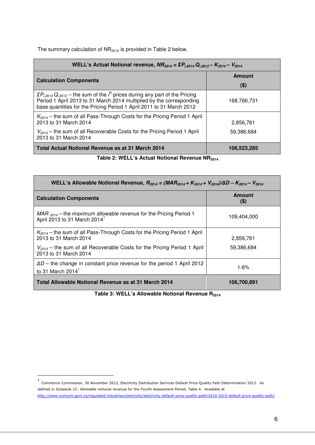The summary calculation of  $NR_{2014}$  is provided in Table 2 below.

| WELL's Actual Notional revenue, $NR_{2014} = \Sigma P_{1,2014} Q_{1,2012} - K_{2014} - V_{2014}$                                                                                                                                                      |               |  |  |  |
|-------------------------------------------------------------------------------------------------------------------------------------------------------------------------------------------------------------------------------------------------------|---------------|--|--|--|
| <b>Calculation Components</b>                                                                                                                                                                                                                         | <b>Amount</b> |  |  |  |
|                                                                                                                                                                                                                                                       | \$)           |  |  |  |
| $\Sigma P_{i,2014} Q_{i,2012}$ – the sum of the $i^{\text{th}}$ prices during any part of the Pricing<br>Period 1 April 2013 to 31 March 2014 multiplied by the corresponding<br>base quantities for the Pricing Period 1 April 2011 to 31 March 2012 | 168,766,731   |  |  |  |
| $K_{2014}$ – the sum of all Pass-Through Costs for the Pricing Period 1 April<br>2013 to 31 March 2014                                                                                                                                                | 2,856,761     |  |  |  |
| $V_{2014}$ – the sum of all Recoverable Costs for the Pricing Period 1 April<br>2013 to 31 March 2014                                                                                                                                                 | 59,386,684    |  |  |  |
| Total Actual Notional Revenue as at 31 March 2014                                                                                                                                                                                                     | 106,523,285   |  |  |  |

**Table 2: WELL's Actual Notional Revenue NR<sup>2014</sup>**

| WELL's Allowable Notional Revenue, $R_{2014} = (MAR_{2014} + K_{2014} + V_{2014})/\Delta D - K_{2014} - V_{2014}$ |               |  |  |  |  |
|-------------------------------------------------------------------------------------------------------------------|---------------|--|--|--|--|
| <b>Calculation Components</b>                                                                                     | Amount<br>\$) |  |  |  |  |
| $MAR_{2014}$ – the maximum allowable revenue for the Pricing Period 1<br>April 2013 to 31 March 2014 <sup>1</sup> | 109,404,000   |  |  |  |  |
| $K_{2014}$ – the sum of all Pass-Through Costs for the Pricing Period 1 April<br>2013 to 31 March 2014            | 2,856,761     |  |  |  |  |
| $V_{2014}$ – the sum of all Recoverable Costs for the Pricing Period 1 April<br>2013 to 31 March 2014             | 59,386,684    |  |  |  |  |
| $\Delta D$ – the change in constant price revenue for the period 1 April 2012<br>to 31 March 2014 $^1$            | 1.6%          |  |  |  |  |
| Total Allowable Notional Revenue as at 31 March 2014                                                              | 106,700,891   |  |  |  |  |

Table 3: WELL's Allowable Notional Revenue R<sub>2014</sub>

 1 Commerce Commission, 30 November 2012, Electricity Distribution Services Default Price-Quality Path Determination 2012. As defined in Schedule 1C: Allowable notional revenue for the Fourth Assessment Period, Table 4. Available at http://www.comcom.govt.nz/regulated-industries/electricity/electricity-default-price-quality-path/2010-2015-default-price-quality-path/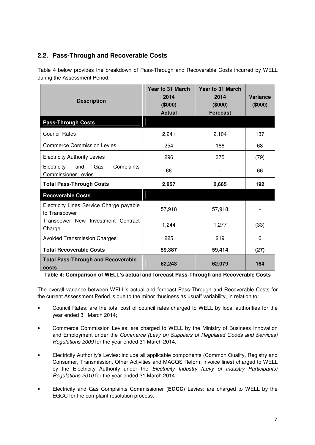## **2.2. Pass-Through and Recoverable Costs**

Table 4 below provides the breakdown of Pass-Through and Recoverable Costs incurred by WELL during the Assessment Period.

| <b>Description</b>                                                    | Year to 31 March<br>2014<br>(\$000)<br><b>Actual</b> | Year to 31 March<br>2014<br>(\$000)<br><b>Forecast</b> | Variance<br>(\$000) |
|-----------------------------------------------------------------------|------------------------------------------------------|--------------------------------------------------------|---------------------|
| <b>Pass-Through Costs</b>                                             |                                                      |                                                        |                     |
| <b>Council Rates</b>                                                  | 2,241                                                | 2,104                                                  | 137                 |
| <b>Commerce Commission Levies</b>                                     | 254                                                  | 186                                                    | 68                  |
| <b>Electricity Authority Levies</b>                                   | 296                                                  | 375                                                    | (79)                |
| Electricity<br>and<br>Gas<br>Complaints<br><b>Commissioner Levies</b> | 66                                                   |                                                        | 66                  |
| <b>Total Pass-Through Costs</b>                                       | 2,857                                                | 2,665                                                  | 192                 |
| <b>Recoverable Costs</b>                                              |                                                      |                                                        |                     |
| Electricity Lines Service Charge payable<br>to Transpower             | 57,918                                               | 57,918                                                 |                     |
| Transpower New Investment Contract<br>Charge                          | 1,244                                                | 1,277                                                  | (33)                |
| <b>Avoided Transmission Charges</b>                                   | 225                                                  | 219                                                    | 6                   |
| <b>Total Recoverable Costs</b>                                        | 59,387                                               | 59,414                                                 | (27)                |
| <b>Total Pass-Through and Recoverable</b><br>costs                    | 62,243                                               | 62,079                                                 | 164                 |

**Table 4: Comparison of WELL's actual and forecast Pass-Through and Recoverable Costs** 

The overall variance between WELL's actual and forecast Pass-Through and Recoverable Costs for the current Assessment Period is due to the minor "business as usual" variability, in relation to:

- Council Rates: are the total cost of council rates charged to WELL by local authorities for the year ended 31 March 2014;
- Commerce Commission Levies: are charged to WELL by the Ministry of Business Innovation and Employment under the Commerce (Levy on Suppliers of Regulated Goods and Services) Regulations 2009 for the year ended 31 March 2014.
- Electricity Authority's Levies: include all applicable components (Common Quality, Registry and Consumer, Transmission, Other Activities and MACQS Reform invoice lines) charged to WELL by the Electricity Authority under the Electricity Industry (Levy of Industry Participants) Regulations 2010 for the year ended 31 March 2014;
- Electricity and Gas Complaints Commissioner (**EGCC**) Levies: are charged to WELL by the EGCC for the complaint resolution process.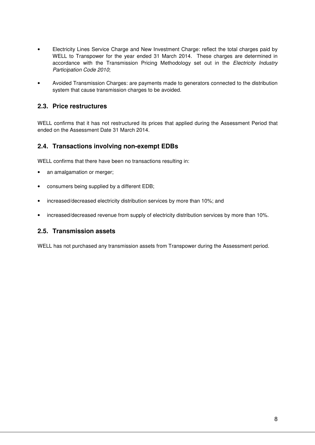- Electricity Lines Service Charge and New Investment Charge: reflect the total charges paid by WELL to Transpower for the year ended 31 March 2014. These charges are determined in accordance with the Transmission Pricing Methodology set out in the *Electricity Industry* Participation Code 2010;
- Avoided Transmission Charges: are payments made to generators connected to the distribution system that cause transmission charges to be avoided.

### **2.3. Price restructures**

WELL confirms that it has not restructured its prices that applied during the Assessment Period that ended on the Assessment Date 31 March 2014.

#### **2.4. Transactions involving non-exempt EDBs**

WELL confirms that there have been no transactions resulting in:

- an amalgamation or merger;
- consumers being supplied by a different EDB;
- increased/decreased electricity distribution services by more than 10%; and
- increased/decreased revenue from supply of electricity distribution services by more than 10%.

#### **2.5. Transmission assets**

WELL has not purchased any transmission assets from Transpower during the Assessment period.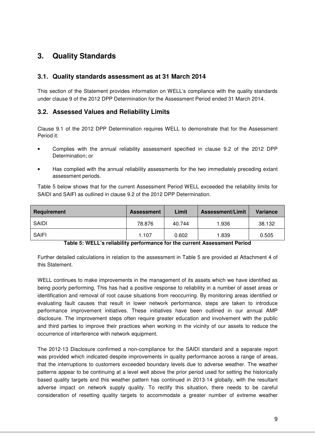# **3. Quality Standards**

### **3.1. Quality standards assessment as at 31 March 2014**

This section of the Statement provides information on WELL's compliance with the quality standards under clause 9 of the 2012 DPP Determination for the Assessment Period ended 31 March 2014.

#### **3.2. Assessed Values and Reliability Limits**

Clause 9.1 of the 2012 DPP Determination requires WELL to demonstrate that for the Assessment Period it:

- Complies with the annual reliability assessment specified in clause 9.2 of the 2012 DPP Determination; or
- Has complied with the annual reliability assessments for the two immediately preceding extant assessment periods.

Table 5 below shows that for the current Assessment Period WELL exceeded the reliability limits for SAIDI and SAIFI as outlined in clause 9.2 of the 2012 DPP Determination.

| Requirement                | <b>Assessment</b> | Limit         | <b>Assessment/Limit</b> | <b>Variance</b> |
|----------------------------|-------------------|---------------|-------------------------|-----------------|
| SAIDI                      | 78.876            | 40.744        | 1.936                   | 38.132          |
| SAIFI<br>_ ______<br><br>_ | 1.107             | 0.602<br>$ -$ | 1.839                   | 0.505           |

#### **Table 5: WELL's reliability performance for the current Assessment Period**

Further detailed calculations in relation to the assessment in Table 5 are provided at Attachment 4 of this Statement.

WELL continues to make improvements in the management of its assets which we have identified as being poorly performing. This has had a positive response to reliability in a number of asset areas or identification and removal of root cause situations from reoccurring. By monitoring areas identified or evaluating fault causes that result in lower network performance, steps are taken to introduce performance improvement initiatives. These initiatives have been outlined in our annual AMP disclosure. The improvement steps often require greater education and involvement with the public and third parties to improve their practices when working in the vicinity of our assets to reduce the occurrence of interference with network equipment.

The 2012-13 Disclosure confirmed a non-compliance for the SAIDI standard and a separate report was provided which indicated despite improvements in quality performance across a range of areas, that the interruptions to customers exceeded boundary levels due to adverse weather. The weather patterns appear to be continuing at a level well above the prior period used for setting the historically based quality targets and this weather pattern has continued in 2013-14 globally, with the resultant adverse impact on network supply quality. To rectify this situation, there needs to be careful consideration of resetting quality targets to accommodate a greater number of extreme weather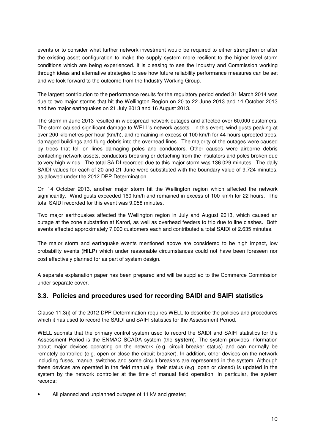events or to consider what further network investment would be required to either strengthen or alter the existing asset configuration to make the supply system more resilient to the higher level storm conditions which are being experienced. It is pleasing to see the Industry and Commission working through ideas and alternative strategies to see how future reliability performance measures can be set and we look forward to the outcome from the Industry Working Group.

The largest contribution to the performance results for the regulatory period ended 31 March 2014 was due to two major storms that hit the Wellington Region on 20 to 22 June 2013 and 14 October 2013 and two major earthquakes on 21 July 2013 and 16 August 2013.

The storm in June 2013 resulted in widespread network outages and affected over 60,000 customers. The storm caused significant damage to WELL's network assets. In this event, wind gusts peaking at over 200 kilometres per hour (km/h), and remaining in excess of 100 km/h for 44 hours uprooted trees, damaged buildings and flung debris into the overhead lines. The majority of the outages were caused by trees that fell on lines damaging poles and conductors. Other causes were airborne debris contacting network assets, conductors breaking or detaching from the insulators and poles broken due to very high winds. The total SAIDI recorded due to this major storm was 136.029 minutes. The daily SAIDI values for each of 20 and 21 June were substituted with the boundary value of 9.724 minutes, as allowed under the 2012 DPP Determination.

On 14 October 2013, another major storm hit the Wellington region which affected the network significantly. Wind gusts exceeded 160 km/h and remained in excess of 100 km/h for 22 hours. The total SAIDI recorded for this event was 9.058 minutes.

Two major earthquakes affected the Wellington region in July and August 2013, which caused an outage at the zone substation at Karori, as well as overhead feeders to trip due to line clashes. Both events affected approximately 7,000 customers each and contributed a total SAIDI of 2.635 minutes.

The major storm and earthquake events mentioned above are considered to be high impact, low probability events (**HILP**) which under reasonable circumstances could not have been foreseen nor cost effectively planned for as part of system design.

A separate explanation paper has been prepared and will be supplied to the Commerce Commission under separate cover.

#### **3.3. Policies and procedures used for recording SAIDI and SAIFI statistics**

Clause 11.3(i) of the 2012 DPP Determination requires WELL to describe the policies and procedures which it has used to record the SAIDI and SAIFI statistics for the Assessment Period.

WELL submits that the primary control system used to record the SAIDI and SAIFI statistics for the Assessment Period is the ENMAC SCADA system (the **system**). The system provides information about major devices operating on the network (e.g. circuit breaker status) and can normally be remotely controlled (e.g. open or close the circuit breaker). In addition, other devices on the network including fuses, manual switches and some circuit breakers are represented in the system. Although these devices are operated in the field manually, their status (e.g. open or closed) is updated in the system by the network controller at the time of manual field operation. In particular, the system records:

All planned and unplanned outages of 11 kV and greater;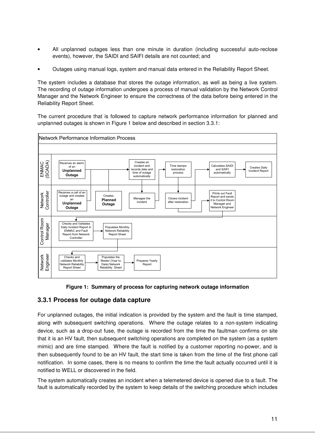- All unplanned outages less than one minute in duration (including successful auto-reclose events), however, the SAIDI and SAIFI details are not counted; and
- Outages using manual logs, system and manual data entered in the Reliability Report Sheet.

The system includes a database that stores the outage information, as well as being a live system. The recording of outage information undergoes a process of manual validation by the Network Control Manager and the Network Engineer to ensure the correctness of the data before being entered in the Reliability Report Sheet.

The current procedure that is followed to capture network performance information for planned and unplanned outages is shown in Figure 1 below and described in section 3.3.1:



**Figure 1: Summary of process for capturing network outage information** 

#### **3.3.1 Process for outage data capture**

For unplanned outages, the initial indication is provided by the system and the fault is time stamped, along with subsequent switching operations. Where the outage relates to a non-system indicating device, such as a drop-out fuse, the outage is recorded from the time the faultman confirms on site that it is an HV fault, then subsequent switching operations are completed on the system (as a system mimic) and are time stamped. Where the fault is notified by a customer reporting no-power, and is then subsequently found to be an HV fault, the start time is taken from the time of the first phone call notification. In some cases, there is no means to confirm the time the fault actually occurred until it is notified to WELL or discovered in the field.

The system automatically creates an incident when a telemetered device is opened due to a fault. The fault is automatically recorded by the system to keep details of the switching procedure which includes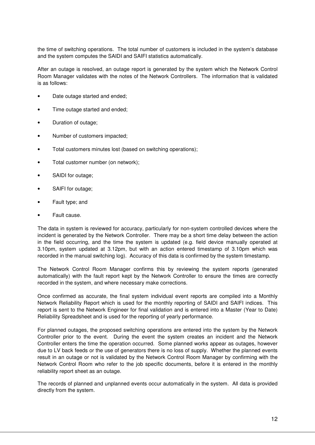the time of switching operations. The total number of customers is included in the system's database and the system computes the SAIDI and SAIFI statistics automatically.

After an outage is resolved, an outage report is generated by the system which the Network Control Room Manager validates with the notes of the Network Controllers. The information that is validated is as follows:

- Date outage started and ended;
- Time outage started and ended;
- Duration of outage;
- Number of customers impacted;
- Total customers minutes lost (based on switching operations);
- Total customer number (on network);
- SAIDI for outage;
- SAIFI for outage;
- Fault type: and
- Fault cause.

The data in system is reviewed for accuracy, particularly for non-system controlled devices where the incident is generated by the Network Controller. There may be a short time delay between the action in the field occurring, and the time the system is updated (e.g. field device manually operated at 3.10pm, system updated at 3.12pm, but with an action entered timestamp of 3.10pm which was recorded in the manual switching log). Accuracy of this data is confirmed by the system timestamp.

The Network Control Room Manager confirms this by reviewing the system reports (generated automatically) with the fault report kept by the Network Controller to ensure the times are correctly recorded in the system, and where necessary make corrections.

Once confirmed as accurate, the final system individual event reports are compiled into a Monthly Network Reliability Report which is used for the monthly reporting of SAIDI and SAIFI indices. This report is sent to the Network Engineer for final validation and is entered into a Master (Year to Date) Reliability Spreadsheet and is used for the reporting of yearly performance.

For planned outages, the proposed switching operations are entered into the system by the Network Controller prior to the event. During the event the system creates an incident and the Network Controller enters the time the operation occurred. Some planned works appear as outages, however due to LV back feeds or the use of generators there is no loss of supply. Whether the planned events result in an outage or not is validated by the Network Control Room Manager by confirming with the Network Control Room who refer to the job specific documents, before it is entered in the monthly reliability report sheet as an outage.

The records of planned and unplanned events occur automatically in the system. All data is provided directly from the system.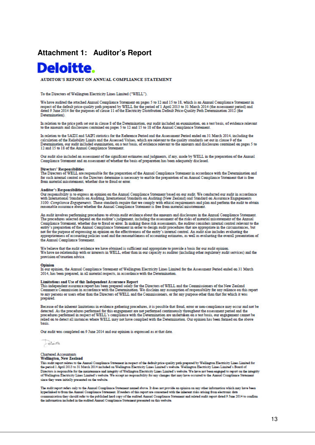## **Attachment 1: Auditor's Report**



AUDITOR'S REPORT ON ANNUAL COMPLIANCE STATEMENT

To the Directors of Wellington Electricity Lines Limited ("WELL").

We have audited the attached Annual Compliance Statement on pages 5 to 12 and 15 to 18, which is an Annual Compliance Statement in respect of the default price-quality path prepared by WELL for the period of 1 April 2013 to 31 March 2014 (the assessment period) and dated 9 June 2014 for the purposes of clause 11 of the Electricity Distribution Default Price-Quality Path Determination 2012 (the Determination)

In relation to the price path set out in clause 8 of the Determination, our audit included an examination, on a test basis, of evidence relevant to the amounts and disclosures contained on pages 5 to 12 and 15 to 18 of the Annual Compliance Statement.

In relation to the SAIDI and SAIFI statistics for the Reference Period and the Assessment Period ended on 31 March 2014, including the calculation of the Reliability Limits and the Assessed Values, which are relevant to the quality standards set out in clause 9 of the<br>Determination, our audit included examination, on a test basis, of evidence relevant to 12 and 15 to 18 of the Annual Compliance Statement.

Our audit also included an assessment of the significant estimates and judgments, if any, made by WELL in the preparation of the Annual Compliance Statement and an assessment of whether the basis of preparation has been adequately disclosed.

#### Directors' Responsibilities

The Directors of WELL are responsible for the preparation of the Annual Compliance Statement in accordance with the Determination and for such internal control as the Directors determine is necessary to enable the preparation of an Annual Compliance Statement that is free from material misstatement, whether due to fraud or error.

#### **Anditor's Responsibilities**

Our responsibility is to express an opinion on the Annual Compliance Statement based on our audit. We conducted our audit in accordance with International Standards on Auditing, International Standards on Auditing (New Zealand) and Standard on Assurance Engagements 3100: Compliance Engagements. Those standards require that we comply with ethical requirements and plan and perform the audit to obtain reasonable assurance about whether the Annual Compliance Statement is free from materi

An audit involves performing procedures to obtain audit evidence about the amounts and disclosures in the Annual Compliance Statement. The procedures selected depend on the auditor's judgement, including the assessment of the risks of material misstatement of the Annual Compliance Statement, whether due to fraud or error. In making those risk assessments, the auditor considers internal control relevant to the entity's preparation of the Annual Compliance Statement in order to design audit not for the purpose of expressing an opinion on the effectiveness of the entity's internal control. An audit also includes evaluating the appropriateness of accounting policies used and the reasonableness of accounting estimates, as well as evaluating the overall presentation of the Annual Compliance Statement.

We believe that the audit evidence we have obtained is sufficient and appropriate to provide a basis for our audit opinion.<br>We have no relationship with or interests in WELL, other than in our capacity as auditor (includin provision of taxation advice.

#### Opinion

In our opinion, the Annual Compliance Statement of Wellington Electricity Lines Limited for the Assessment Period ended on 31 March 2014, has been prepared, in all material respects, in accordance with the Determination.

#### Limitations and Use of this Independent Assurance Report

This independent assurance report has been prepared solely for the Directors of WELL and the Commissioners of the New Zealand Commerce Commission in accordance with the Determination. We disclaim any assumption of responsibility for any reliance on this report to any persons or users other than the Directors of WELL and the Commissioners, or for any purpose other than that for which it was prepared

Because of the inherent limitations in evidence gathering procedures, it is possible that fraud, error or non-compliance may occur and not be detected. As the procedures performed for this engagement are not performed continuously throughout the assessment period and the procedures performed in respect of WELL's compliance with the Determination are undertaken o basis

Our audit was completed on 9 June 2014 and our opinion is expressed as at that date.

Sinte

#### **Chartered Accountants Wellington, New Zealand**

This sudit report relates to the Annual Compliance Statement in respect of the default price-quality path prepared by Wellington Electricity Lines Limited for the period 1 April 2013 to 31 March 2014 included on Wellington Directors is responsible for the maintenance and integrity of Wellington Electricity Lines Limited's website. We have not been engaged to report on the integrity<br>of Wellington Electricity Lines Limited's website. We accept since they were initially presented on the website

The sudit report refers only to the Annual Compliance Statement named above. It does not provide an opinion on any other information which may have been hyperlinked to from the Annual Compliance Statement. If readers of this report are concerned with the inherent risks arising from electronic data communication they should refer to the published hard copy of the audited Annual Compliance Statement and related audit report dated 9 June 2014 to confirm the information included in the audited Annual Compliance Statement presented on this website.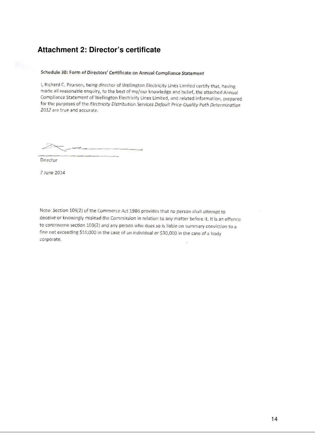# **Attachment 2: Director's certificate**

#### Schedule 3B: Form of Directors' Certificate on Annual Compliance Statement

I, Richard C. Pearson, being director of Wellington Electricity Lines Limited certify that, having made all reasonable enquiry, to the best of my/our knowledge and belief, the attached Annual Compliance Statement of Wellington Electricity Lines Limited, and related information, prepared for the purposes of the Electricity Distribution Services Default Price-Quality Path Determination 2012 are true and accurate.

Director

7 June 2014

Note: Section 103(2) of the Commerce Act 1986 provides that no person shall attempt to deceive or knowingly mislead the Commission in relation to any matter before it. It is an offence to contravene section 103(2) and any person who does so is liable on summary conviction to a fine not exceeding \$10,000 in the case of an individual or \$30,000 in the case of a body corporate.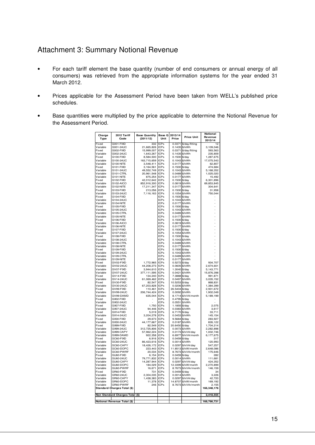## Attachment 3: Summary Notional Revenue

- For each tariff element the base quantity (number of end consumers or annual energy of all consumers) was retrieved from the appropriate information systems for the year ended 31 March 2012.
- Prices applicable for the Assessment Period have been taken from WELL's published price schedules.
- Base quantities were multiplied by the price applicable to determine the Notional Revenue for the Assessment Period.

| Charge               | 2012 Tariff                              | <b>Base Quantity</b>   | Base Q                     | 2013/14                        |                                | Notional             |
|----------------------|------------------------------------------|------------------------|----------------------------|--------------------------------|--------------------------------|----------------------|
| Type                 | Code                                     | (2011/12)              | Unit                       | Price                          | <b>Price Unit</b>              | Revenue<br>2013/14   |
| Fixed                | G001-FIXD                                | 332                    | <b>ICPs</b>                |                                | 0.0371 \$/day/fitting          | 12                   |
| Variable             | G001-24UC                                | 21,665,826             | <b>ICPs</b>                |                                | 0.1435 \$/kWh                  | 3,109,046            |
| Fixed                | G002-FIXD                                | 15,999,007             | <b>ICPs</b>                |                                | 0.0371 \$/day/fitting          | 593,563              |
| Variable<br>Fixed    | G002-24UC<br>G100-FIXD                   | 1,643,267<br>8,584,500 | <b>ICPs</b><br><b>ICPs</b> | 0.1435<br>0.1500               | \$/kWh<br>\$/day               | 235,809<br>1,287,675 |
| Variable             | G100-24UC                                | 163,715,659            | <b>ICPs</b>                | 0.1043                         | \$/kWh                         | 17,075,543           |
| Variable             | G100-NITE                                | 3.548.411              | <b>ICPs</b>                | 0.0177                         | \$/kWh                         | 62.807               |
| Fixed                | G101-FIXD                                | 3,164,561              | <b>ICPs</b>                | 0.1500 \$/day                  |                                | 474,684              |
| Variable             | G101-24UC                                | 49,552,749             | <b>ICPs</b>                | 0.1043                         | \$/kWh                         | 5,168,352            |
| Variable<br>Variable | G101-CTRL<br>G101-NITE                   | 20,961,548<br>875,254  | <b>ICPs</b><br><b>ICPs</b> | 0.0489<br>0.0177               | \$/kWh<br>\$/kWh               | 1,025,020<br>15,492  |
| Fixed                | G102-FIXD                                | 42,012,642             | <b>ICPs</b>                | 0.1500                         | \$/day                         | 6,301,896            |
| Variable             | G102-AICO                                | 852,916,300            | <b>ICPs</b>                | 0.0819                         | \$/kWh                         | 69,853,845           |
| Variable             | G102-NITE                                | 17,211,347             | <b>ICPs</b>                |                                | 0.0177 \$/kWh                  | 304,641              |
| Fixed                | G103-FIXD                                | 213,056                | <b>ICPs</b>                | 0.1500 \$/day                  |                                | 31,958               |
| Variable<br>Fixed    | G103-24UC<br>G104-FIXD                   | 7,116,163              | <b>ICPs</b><br><b>ICPs</b> | 0.1054<br>0.1500               | \$/kWh<br>\$/day               | 750,044              |
| Variable             | G104-24UC                                |                        | <b>ICPs</b>                | 0.1043                         | \$/kWh                         |                      |
| Variable             | <b>G104-NITE</b>                         |                        | <b>ICPs</b>                | 0.0177 \$/kWh                  |                                |                      |
| Fixed                | G105-FIXD                                |                        | <b>ICPs</b>                | 0.1500 \$/day                  |                                | ÷                    |
| Variable             | G105-24UC                                |                        | <b>ICPs</b>                | 0.1043                         | \$/kWh                         | $\ddot{\phantom{0}}$ |
| Variable<br>Variable | G105-CTRL<br>G105-NITE                   |                        | <b>ICPs</b><br><b>ICPs</b> | 0.0489<br>0.0177               | \$/kWh<br>\$/kWh               | f                    |
| Fixed                | G106-FIXD                                |                        | <b>ICPs</b>                | $0.1500$ \$/day                |                                | ÷<br>$\overline{a}$  |
| Variable             | G106-AICO                                |                        | <b>ICPs</b>                | 0.0819 \$/kWh                  |                                | $\overline{a}$       |
| Variable             | G106-NITE                                |                        | <b>ICPs</b>                |                                | 0.0177 \$/kWh                  | l,                   |
| Fixed                | G107-FIXD                                |                        | <b>ICPs</b>                | 0.1500                         | \$/day                         | $\overline{a}$       |
| Variable             | G107-24UC                                |                        | <b>ICPs</b><br><b>ICPs</b> | 0.1054                         | \$/kWh                         | -                    |
| Fixed<br>Variable    | G108-FIXD<br>G108-24UC                   |                        | <b>ICPs</b>                | 0.1500 \$/day<br>0.1043 \$/kWh |                                | $\frac{1}{2}$        |
| Variable             | G108-CTRL                                |                        | <b>ICPs</b>                |                                | 0.0489 \$/kWh                  |                      |
| Variable             | G108-NITE                                |                        | <b>ICPs</b>                | 0.0177                         | \$/kWh                         |                      |
| Fixed                | G109-FIXD                                |                        | <b>ICPs</b>                | 0.1500                         | \$/dav                         |                      |
| Variable             | G109-24UC                                |                        | <b>ICPs</b>                | 0.1043                         | \$/kWh                         |                      |
| Variable<br>Variable | G109-CTRL<br>G109-NITE                   |                        | <b>ICPs</b><br><b>ICPs</b> |                                | 0.0489 \$/kWh<br>0.0177 \$/kWh |                      |
| Fixed                | GV02-FIXD                                | 1,772,965              | <b>ICPs</b>                | 0.5272 \$/day                  |                                | 934,707              |
| Variable             | GV02-24UC                                | 44,208,273             | <b>ICPs</b>                | 0.0605                         | \$/kWh                         | 2.674.601            |
| Variable             | GV07-FIXD                                | 3,944,610              | <b>ICPs</b>                | 1.3040                         | \$/day                         | 5,143,771            |
| Variable             | GV07-24UC                                | 377, 111, 595          | <b>ICPs</b>                |                                | 0.0421 \$/kWh                  | 15,876,398           |
| Fixed                | GV14-FIXD                                | 134,240                | <b>ICPs</b>                | 7.3888 \$/day                  |                                | 991,871              |
| Variable<br>Fixed    | GV14-24UC<br>GV30-FIXD                   | 61,069,462<br>82,547   | <b>ICPs</b><br><b>ICPs</b> | 10.5253                        | 0.0497 \$/kWh<br>\$/day        | 3,035,152<br>868,831 |
| Variable             | GV30-24UC                                | 67,203,828             | <b>ICPs</b>                | 0.0206                         | \$/kWh                         | 1,384,399            |
| Fixed                | GV99-FIXD                                | 110,461                | <b>ICPs</b>                | 26.5404                        | \$/day                         | 2,931,672            |
| Variable             | GV99-24UC                                | 206.744.424            | <b>ICPs</b>                |                                | 0.0092 \$/kWh                  | 1.902.049            |
| Variable             | GV99-DAMD                                | 635,044                | <b>ICPs</b>                |                                | 8.1714 \$/kVA/month            | 5,189,199            |
| Fixed<br>Variable    | GX02-FIXD<br>GX02-24UC                   |                        | <b>ICPs</b><br><b>ICPs</b> | 0.4795 \$/day<br>0.0551        | \$/kWh                         |                      |
| Fixed                | GX07-FIXD                                | 1,750                  | <b>ICPs</b>                | 1.1855                         | \$/day                         | 2,075                |
| Variable             | GX07-24UC                                | 94,446                 | <b>ICPs</b>                | 0.0383                         | \$/kWh                         | 3,617                |
| Fixed                | GX14-FIXD                                | 5,019                  | <b>ICPs</b>                | 6.7170                         | \$/day                         | 33,711               |
| Variable             | GX14-24UC                                | 3,204,278              | <b>ICPs</b>                | 0.0453 \$/kWh                  |                                | 145,154              |
| Fixed                | GX30-FIXD                                | 29,673                 | <b>ICPs</b>                | 9.5684                         | \$/day                         | 283,927              |
| Variable<br>Fixed    | GX30-24UC<br>GX99-FIXD                   | 44, 177, 667<br>82,549 | <b>ICPs</b><br><b>ICPs</b> | 0.0187<br>20.6450              | \$/kWh<br>\$/day               | 826,122<br>1,704,214 |
| Variable             | GX99-24UC                                | 312,725,806            | <b>ICPs</b>                | 0.0073                         | \$/kWh                         | 2,282,898            |
| Variable             | GX99-CAPY                                | 57,962,224             | <b>ICPs</b>                | 0.0173                         | \$/kVA/day                     | 1,002,746            |
| Variable             | GX99-DAMD                                | 922,358                | <b>ICPs</b>                |                                | 6.6977 \$/kVA/month            | 6,177,675            |
| Fixed                | GC60-FIXD                                | 6.916                  | <b>ICPs</b>                | 0.0459                         | \$/day                         | 317                  |
| Variable<br>Variable | GC60-24UC<br>GC60-CAPY                   | 86,423,616             | <b>ICPs</b><br><b>ICPs</b> | 0.0014<br>0.0297               | \$/kWh<br>\$/kVA/day           | 120,993              |
| Variable             | GC60-DOPC                                | 18,426,172<br>223,443  | <b>ICPs</b>                | 11.8513                        | \$/kW/month                    | 547,257<br>2,648,086 |
| Variable             | GC60-PWRF                                | 20,034                 | <b>ICPs</b>                |                                | 8.7673 \$/kVAr/month           | 175,646              |
| Fixed                | GU60-FIXD                                | 6,154                  | <b>ICPs</b>                | 0.0459                         | \$/day                         | 282                  |
| Variable             | GU60-24UC                                | 79,771,832             | <b>ICPs</b>                | 0.0014                         | \$/kWh                         | 111,681              |
| Variable<br>Variable | GU60-CAPY                                | 14,287,944             | <b>ICPs</b><br><b>ICPs</b> | 0.0297<br>12.3399              | \$/kVA/day<br>\$/kW/month      | 424,352<br>2.270.899 |
| Variable             | GU60-DOPC<br>GU60-PWRF                   | 184,029<br>16,671      | <b>ICPs</b>                |                                | 8.7673 \$/kVAr/month           | 146,159              |
| Fixed                | GR60-FIXD                                | 731                    | <b>ICPs</b>                | 0.0459 \$/day                  |                                | 34                   |
| Variable             | GR60-24UC                                | 2,304,035              | <b>ICPs</b>                | 0.0014                         | \$/kWh                         | 3,226                |
| Variable             | GR60-CAPY                                | 1,438,383              | <b>ICPs</b>                | 0.0297                         | \$/kVA/day                     | 42,720               |
| Variable             | GR60-DOPC                                | 11,378                 | <b>ICPs</b>                | 14.8707                        | \$/kW/month                    | 169,192              |
| Variable             | GR60-PWRF<br>Standard Charges Total (\$) | 246                    | <b>ICPs</b>                |                                | 8.7673 \$/kVAr/month           | 2,155<br>166,348,176 |
|                      |                                          |                        |                            |                                |                                |                      |
|                      | Non Standard Charges Total (\$)          |                        |                            |                                |                                | 2,418,555            |
|                      | Notional Revenue Total (\$)              |                        |                            |                                |                                | 168,766,731          |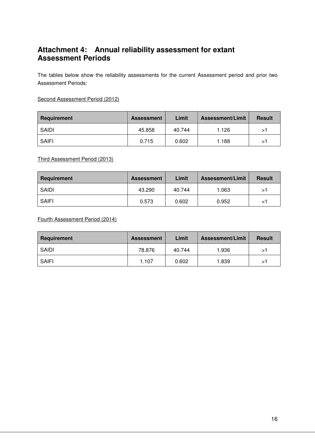# **Attachment 4: Annual reliability assessment for extant Assessment Periods**

The tables below show the reliability assessments for the current Assessment period and prior two Assessment Periods:

Second Assessment Period (2012)

| Requirement  | <b>Assessment</b> | Limit  | <b>Assessment/Limit</b> | <b>Result</b> |
|--------------|-------------------|--------|-------------------------|---------------|
| <b>SAIDI</b> | 45.858            | 40.744 | 1.126                   | ⋗             |
| <b>SAIFI</b> | 0.715             | 0.602  | 1.188                   | >`            |

Third Assessment Period (2013)

| Requirement | <b>Assessment</b> | Limit  | <b>Assessment/Limit</b> | <b>Result</b>              |
|-------------|-------------------|--------|-------------------------|----------------------------|
| SAIDI       | 43.290            | 40.744 | 1.063                   | >⊺                         |
| SAIFI       | 0.573             | 0.602  | 0.952                   | < $\overline{\phantom{a}}$ |

Fourth Assessment Period (2014)

| Requirement  | <b>Assessment</b> | Limit  | <b>Assessment/Limit</b> | <b>Result</b> |
|--------------|-------------------|--------|-------------------------|---------------|
| SAIDI        | 78.876            | 40.744 | 1.936                   | >⊺            |
| <b>SAIFI</b> | 1.107             | 0.602  | 1.839                   | >1            |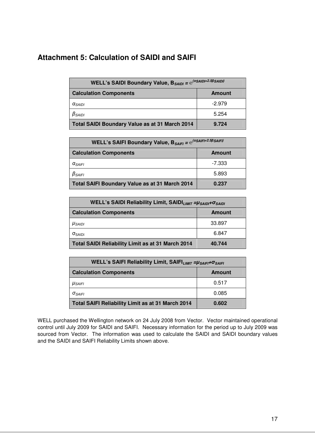# **Attachment 5: Calculation of SAIDI and SAIFI**

| WELL's SAIDI Boundary Value, $B_{SADI} = e^{(\alpha SADI + 2.5\beta SADI)}$ |               |  |  |  |
|-----------------------------------------------------------------------------|---------------|--|--|--|
| <b>Calculation Components</b>                                               | <b>Amount</b> |  |  |  |
| $\alpha_{SAlDI}$                                                            | $-2.979$      |  |  |  |
| $\beta_{SAlDI}$                                                             | 5.254         |  |  |  |
| <b>Total SAIDI Boundary Value as at 31 March 2014</b>                       | 9.724         |  |  |  |

| WELL's SAIFI Boundary Value, $B_{SAIFI} = e^{(\alpha SAIFI + 2.5\beta SAIFI)}$ |               |  |  |  |
|--------------------------------------------------------------------------------|---------------|--|--|--|
| <b>Calculation Components</b>                                                  | <b>Amount</b> |  |  |  |
| $\alpha_{SAIFI}$                                                               | -7.333        |  |  |  |
| $\beta_{SAIFI}$                                                                | 5.893         |  |  |  |
| <b>Total SAIFI Boundary Value as at 31 March 2014</b>                          | 0.237         |  |  |  |

| WELL's SAIDI Reliability Limit, SAIDI <sub>LIMIT</sub> = µ <sub>SAIDI</sub> + O <sub>SAIDI</sub> |               |  |
|--------------------------------------------------------------------------------------------------|---------------|--|
| <b>Calculation Components</b>                                                                    | <b>Amount</b> |  |
| $\mu_{SAIDI}$                                                                                    | 33.897        |  |
| $\sigma_{\rm SAIDI}$                                                                             | 6.847         |  |
| <b>Total SAIDI Reliability Limit as at 31 March 2014</b>                                         | 40.744        |  |

| WELL's SAIFI Reliability Limit, SAIFI <sub>LIMIT</sub> = USAIFI+OSAIFI |               |  |
|------------------------------------------------------------------------|---------------|--|
| <b>Calculation Components</b>                                          | <b>Amount</b> |  |
| $\mu_{SA$ <sub>IFI</sub>                                               | 0.517         |  |
| $\sigma_{SAIFI}$                                                       | 0.085         |  |
| Total SAIFI Reliability Limit as at 31 March 2014                      | 0.602         |  |

WELL purchased the Wellington network on 24 July 2008 from Vector. Vector maintained operational control until July 2009 for SAIDI and SAIFI. Necessary information for the period up to July 2009 was sourced from Vector. The information was used to calculate the SAIDI and SAIDI boundary values and the SAIDI and SAIFI Reliability Limits shown above.